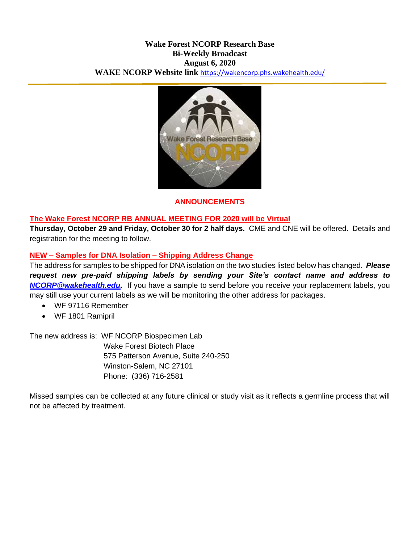#### **Wake Forest NCORP Research Base Bi-Weekly Broadcast August 6, 2020 WAKE NCORP Website link** <https://wakencorp.phs.wakehealth.edu/>



#### **ANNOUNCEMENTS**

#### **The Wake Forest NCORP RB ANNUAL MEETING FOR 2020 will be Virtual**

**Thursday, October 29 and Friday, October 30 for 2 half days.** CME and CNE will be offered. Details and registration for the meeting to follow.

## **NEW – Samples for DNA Isolation – Shipping Address Change**

The address for samples to be shipped for DNA isolation on the two studies listed below has changed. *Please request new pre-paid shipping labels by sending your Site's contact name and address to [NCORP@wakehealth.edu.](mailto:NCORP@wakehealth.edu)* If you have a sample to send before you receive your replacement labels, you may still use your current labels as we will be monitoring the other address for packages.

- WF 97116 Remember
- WF 1801 Ramipril

The new address is: WF NCORP Biospecimen Lab Wake Forest Biotech Place 575 Patterson Avenue, Suite 240-250 Winston-Salem, NC 27101 Phone: (336) 716-2581

Missed samples can be collected at any future clinical or study visit as it reflects a germline process that will not be affected by treatment.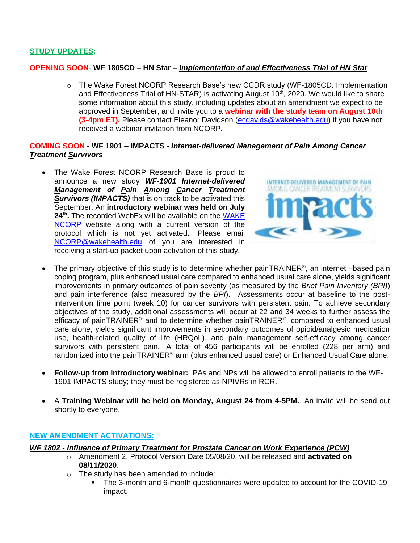## **STUDY UPDATES:**

#### **OPENING SOON**- **WF 1805CD – HN Star –** *Implementation of and Effectiveness Trial of HN Star*

o The Wake Forest NCORP Research Base's new CCDR study (WF-1805CD: Implementation and Effectiveness Trial of HN-STAR) is activating August  $10<sup>th</sup>$ , 2020. We would like to share some information about this study, including updates about an amendment we expect to be approved in September, and invite you to a **webinar with the study team on August 10th (3-4pm ET).** Please contact Eleanor Davidson [\(ecdavids@wakehealth.edu\)](mailto:ecdavids@wakehealth.edu) if you have not received a webinar invitation from NCORP.

#### **COMING SOON - WF 1901 – IMPACTS -** *Internet-delivered Management of Pain Among Cancer Treatment Survivors*

 The Wake Forest NCORP Research Base is proud to announce a new study *WF-1901 Internet-delivered Management of Pain Among Cancer Treatment Survivors (IMPACTS)* that is on track to be activated this September. An **introductory webinar was held on July 24th .** The recorded WebEx will be available on the [WAKE](https://wakencorp.phs.wakehealth.edu/)  [NCORP](https://wakencorp.phs.wakehealth.edu/) website along with a current version of the protocol which is not yet activated. Please email [NCORP@wakehealth.edu](mailto:NCORP@wakehealth.edu) of you are interested in receiving a start-up packet upon activation of this study.



- The primary objective of this study is to determine whether painTRAINER<sup>®</sup>, an internet –based pain coping program, plus enhanced usual care compared to enhanced usual care alone, yields significant improvements in primary outcomes of pain severity (as measured by the *Brief Pain Inventory (BPI)*) and pain interference (also measured by the *BPI*). Assessments occur at baseline to the postintervention time point (week 10) for cancer survivors with persistent pain. To achieve secondary objectives of the study, additional assessments will occur at 22 and 34 weeks to further assess the efficacy of painTRAINER<sup>®</sup> and to determine whether painTRAINER<sup>®</sup>, compared to enhanced usual care alone, yields significant improvements in secondary outcomes of opioid/analgesic medication use, health-related quality of life (HRQoL), and pain management self-efficacy among cancer survivors with persistent pain. A total of 456 participants will be enrolled (228 per arm) and randomized into the painTRAINER<sup>®</sup> arm (plus enhanced usual care) or Enhanced Usual Care alone.
- **Follow-up from introductory webinar:** PAs and NPs will be allowed to enroll patients to the WF-1901 IMPACTS study; they must be registered as NPIVRs in RCR.
- A **Training Webinar will be held on Monday, August 24 from 4-5PM.** An invite will be send out shortly to everyone.

#### **NEW AMENDMENT ACTIVATIONS:**

#### *WF 1802 - Influence of Primary Treatment for Prostate Cancer on Work Experience (PCW)*

- o Amendment 2, Protocol Version Date 05/08/20, will be released and **activated on 08/11/2020**.
- o The study has been amended to include:
	- The 3-month and 6-month questionnaires were updated to account for the COVID-19 impact.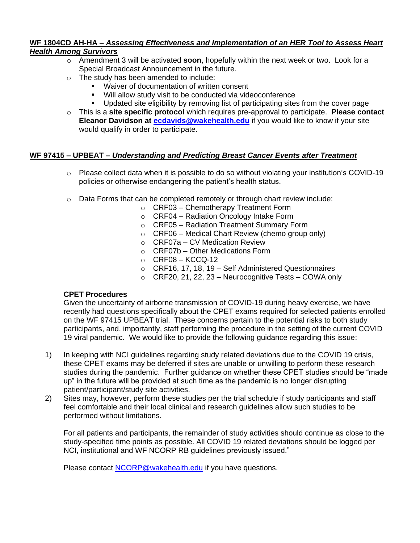#### **WF 1804CD AH-HA –** *Assessing Effectiveness and Implementation of an HER Tool to Assess Heart Health Among Survivors*

- o Amendment 3 will be activated **soon**, hopefully within the next week or two. Look for a Special Broadcast Announcement in the future.
- o The study has been amended to include:
	- Waiver of documentation of written consent
	- Will allow study visit to be conducted via videoconference
	- Updated site eligibility by removing list of participating sites from the cover page
- o This is a **site specific protocol** which requires pre-approval to participate. **Please contact Eleanor Davidson at [ecdavids@wakehealth.edu](mailto:ecdavids@wakehealth.edu)** if you would like to know if your site would qualify in order to participate.

### **WF 97415 – UPBEAT –** *Understanding and Predicting Breast Cancer Events after Treatment*

- $\circ$  Please collect data when it is possible to do so without violating your institution's COVID-19 policies or otherwise endangering the patient's health status.
- $\circ$  Data Forms that can be completed remotely or through chart review include:
	- o CRF03 Chemotherapy Treatment Form
	- o CRF04 Radiation Oncology Intake Form
	- o CRF05 Radiation Treatment Summary Form
	- $\circ$  CRF06 Medical Chart Review (chemo group only)
	- o CRF07a CV Medication Review
	- o CRF07b Other Medications Form
	- $\circ$  CRF08 KCCQ-12
	- o CRF16, 17, 18, 19 Self Administered Questionnaires
	- $\circ$  CRF20, 21, 22, 23 Neurocognitive Tests COWA only

#### **CPET Procedures**

Given the uncertainty of airborne transmission of COVID-19 during heavy exercise, we have recently had questions specifically about the CPET exams required for selected patients enrolled on the WF 97415 UPBEAT trial. These concerns pertain to the potential risks to both study participants, and, importantly, staff performing the procedure in the setting of the current COVID 19 viral pandemic. We would like to provide the following guidance regarding this issue:

- 1) In keeping with NCI guidelines regarding study related deviations due to the COVID 19 crisis, these CPET exams may be deferred if sites are unable or unwilling to perform these research studies during the pandemic. Further guidance on whether these CPET studies should be "made up" in the future will be provided at such time as the pandemic is no longer disrupting patient/participant/study site activities.
- 2) Sites may, however, perform these studies per the trial schedule if study participants and staff feel comfortable and their local clinical and research guidelines allow such studies to be performed without limitations.

For all patients and participants, the remainder of study activities should continue as close to the study-specified time points as possible. All COVID 19 related deviations should be logged per NCI, institutional and WF NCORP RB guidelines previously issued."

Please contact [NCORP@wakehealth.edu](mailto:NCORP@wakehealth.edu) if you have questions.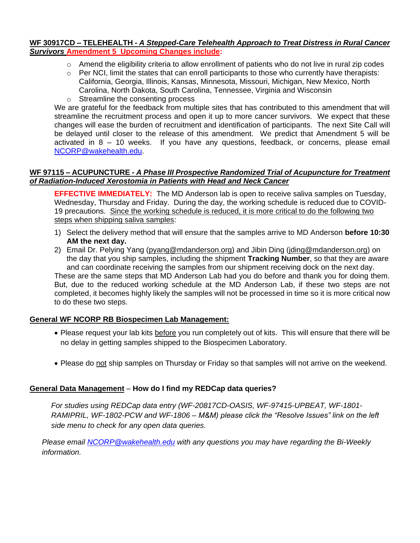#### **WF 30917CD – TELEHEALTH -** *A Stepped-Care Telehealth Approach to Treat Distress in Rural Cancer Survivors* **Amendment 5 Upcoming Changes include:**

- $\circ$  Amend the eligibility criteria to allow enrollment of patients who do not live in rural zip codes
- $\circ$  Per NCI, limit the states that can enroll participants to those who currently have therapists: California, Georgia, Illinois, Kansas, Minnesota, Missouri, Michigan, New Mexico, North Carolina, North Dakota, South Carolina, Tennessee, Virginia and Wisconsin
- o Streamline the consenting process

We are grateful for the feedback from multiple sites that has contributed to this amendment that will streamline the recruitment process and open it up to more cancer survivors. We expect that these changes will ease the burden of recruitment and identification of participants. The next Site Call will be delayed until closer to the release of this amendment. We predict that Amendment 5 will be activated in 8 – 10 weeks. If you have any questions, feedback, or concerns, please email [NCORP@wakehealth.edu.](mailto:NCORP@wakehealth.edu)

#### **WF 97115 – ACUPUNCTURE -** *A Phase III Prospective Randomized Trial of Acupuncture for Treatment of Radiation-Induced Xerostomia in Patients with Head and Neck Cancer*

**EFFECTIVE IMMEDIATELY:** The MD Anderson lab is open to receive saliva samples on Tuesday, Wednesday, Thursday and Friday. During the day, the working schedule is reduced due to COVID-19 precautions. Since the working schedule is reduced, it is more critical to do the following two steps when shipping saliva samples:

- 1) Select the delivery method that will ensure that the samples arrive to MD Anderson **before 10:30 AM the next day.**
- 2) Email Dr. Pelying Yang [\(pyang@mdanderson.org\)](mailto:pyang@mdanderson.org) and Jibin Ding [\(jding@mdanderson.org\)](mailto:jding@mdanderson.org) on the day that you ship samples, including the shipment **Tracking Number**, so that they are aware and can coordinate receiving the samples from our shipment receiving dock on the next day. These are the same steps that MD Anderson Lab had you do before and thank you for doing them. But, due to the reduced working schedule at the MD Anderson Lab, if these two steps are not completed, it becomes highly likely the samples will not be processed in time so it is more critical now to do these two steps.

## **General WF NCORP RB Biospecimen Lab Management:**

- Please request your lab kits before you run completely out of kits. This will ensure that there will be no delay in getting samples shipped to the Biospecimen Laboratory.
- Please do not ship samples on Thursday or Friday so that samples will not arrive on the weekend.

#### **General Data Management** – **How do I find my REDCap data queries?**

*For studies using REDCap data entry (WF-20817CD-OASIS, WF-97415-UPBEAT, WF-1801- RAMIPRIL, WF-1802-PCW and WF-1806 – M&M) please click the "Resolve Issues" link on the left side menu to check for any open data queries.*

*Please email [NCORP@wakehealth.edu](mailto:NCORP@wakehealth.edu) with any questions you may have regarding the Bi-Weekly information.*